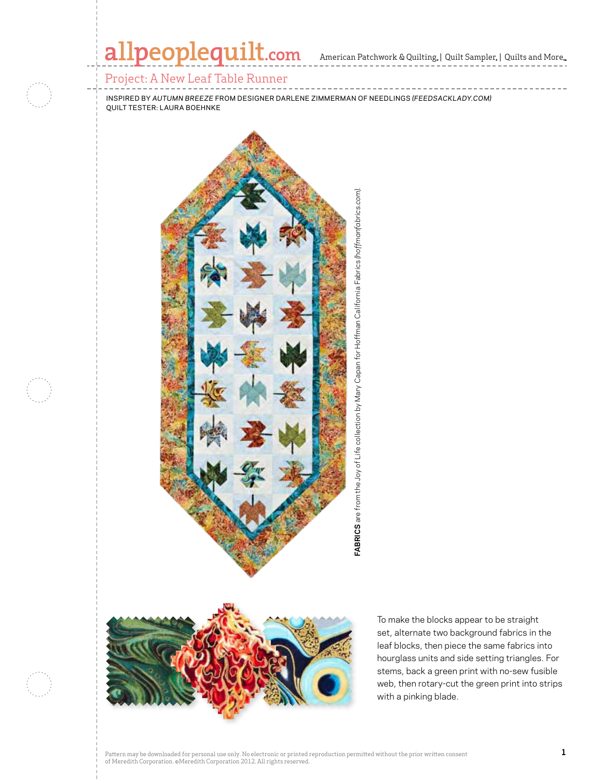## allpeoplequilt.com American Patchwork & Quilting, | Quilt Sampler, | Quilts and More..

## Project: A New Leaf Table Runner

inspired by *autumn breeze* from designer darlene zimmerman of needlings *(feedsacklady.com)* quilt tester: laura boehnke





To make the blocks appear to be straight set, alternate two background fabrics in the leaf blocks, then piece the same fabrics into hourglass units and side setting triangles. For stems, back a green print with no-sew fusible web, then rotary-cut the green print into strips with a pinking blade.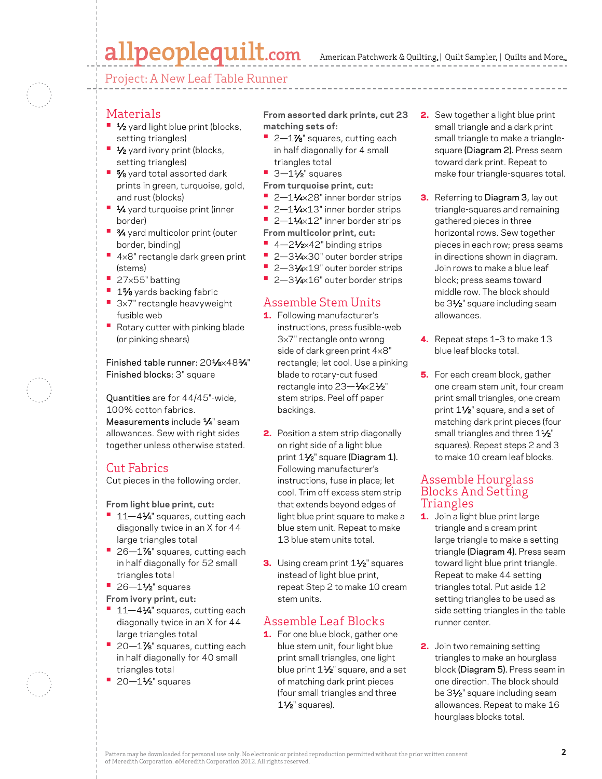# allpeoplequilt.com

Project: A New Leaf Table Runner

#### **Materials**

- **•** 1⁄2 yard light blue print (blocks, setting triangles)
- **•** 1⁄2 yard ivory print (blocks, setting triangles)
- **5/8** yard total assorted dark prints in green, turquoise, gold, and rust (blocks)
- **1⁄4** yard turquoise print (inner border)
- **•** 3/4 yard multicolor print (outer border, binding)
- **•**  <sup>4</sup>×8" rectangle dark green print (stems)
- **•**  <sup>27</sup>×55" batting
- **1%** yards backing fabric
- 3×7" rectangle heavyweight fusible web
- **•** Rotary cutter with pinking blade (or pinking shears)

Finished table runner: 201/8×483/4" Finished blocks: 3" square

Quantities are for 44/45"-wide, 100% cotton fabrics. Measurements include 1/4" seam allowances. Sew with right sides together unless otherwise stated.

## Cut Fabrics

Cut pieces in the following order.

#### **From light blue print, cut:**

- <sup>1</sup> 11-41/4" squares, cutting each diagonally twice in an X for 44 large triangles total
- <sup>•</sup> 26-1% squares, cutting each in half diagonally for 52 small triangles total
- 26-11⁄2" squares
- **From ivory print, cut:**
- <sup>1</sup> 11-41/4" squares, cutting each diagonally twice in an X for 44 large triangles total
- <sup>•</sup> 20-1% squares, cutting each in half diagonally for 40 small triangles total
- **•**  20—11⁄2" squares

**From assorted dark prints, cut 23 matching sets of:**

- 2-1% squares, cutting each in half diagonally for 4 small triangles total
- **•** 3-11⁄2" squares
- **From turquoise print, cut:**
- **•**  2—11⁄4×28" inner border strips
- 2-11⁄4×13" inner border strips
- 2-11⁄4×12" inner border strips
- **From multicolor print, cut:**
- 4-21⁄<sub>2×42</sub>" binding strips
- 2-31⁄4×30" outer border strips
- 2-31⁄4×19" outer border strips
- 2-31⁄4×16" outer border strips

#### Assemble Stem Units

- 1. Following manufacturer's instructions, press fusible-web 3×7" rectangle onto wrong side of dark green print 4×8" rectangle; let cool. Use a pinking blade to rotary-cut fused rectangle into 23- $\frac{1}{4}$  × 2 $\frac{1}{2}$ " stem strips. Peel off paper backings.
- **2.** Position a stem strip diagonally on right side of a light blue print 11⁄2" square (Diagram 1). Following manufacturer's instructions, fuse in place; let cool. Trim off excess stem strip that extends beyond edges of light blue print square to make a blue stem unit. Repeat to make 13 blue stem units total.
- 3. Using cream print 11/2" squares instead of light blue print, repeat Step 2 to make 10 cream stem units.

## Assemble Leaf Blocks

**1.** For one blue block, gather one blue stem unit, four light blue print small triangles, one light blue print  $1\frac{1}{2}$ " square, and a set of matching dark print pieces (four small triangles and three 11⁄2" squares).

- 2. Sew together a light blue print small triangle and a dark print small triangle to make a trianglesquare (Diagram 2). Press seam toward dark print. Repeat to make four triangle-squares total.
- **3.** Referring to Diagram 3, lay out triangle-squares and remaining gathered pieces in three horizontal rows. Sew together pieces in each row; press seams in directions shown in diagram. Join rows to make a blue leaf block; press seams toward middle row. The block should be 3<sup>1/2"</sup> square including seam allowances.
- 4. Repeat steps 1-3 to make 13 blue leaf blocks total.
- **5.** For each cream block, gather one cream stem unit, four cream print small triangles, one cream print 1<sup>1/2</sup>" square, and a set of matching dark print pieces (four small triangles and three 11/2" squares). Repeat steps 2 and 3 to make 10 cream leaf blocks.

#### Assemble Hourglass Blocks And Setting Triangles

- 1. Join a light blue print large triangle and a cream print large triangle to make a setting triangle (Diagram 4). Press seam toward light blue print triangle. Repeat to make 44 setting triangles total. Put aside 12 setting triangles to be used as side setting triangles in the table runner center.
- 2. Join two remaining setting triangles to make an hourglass block (Diagram 5). Press seam in one direction. The block should be 3<sup>1/2"</sup> square including seam allowances. Repeat to make 16 hourglass blocks total.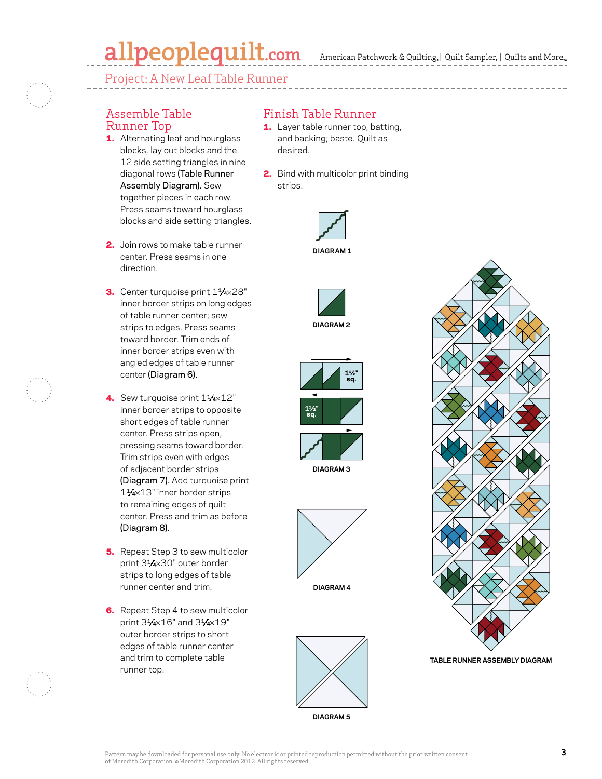American Patchwork & Quilting | Quilt Sampler | Quilts and More **APQ AUGUST 2012 CMR** 

**C. Neubauer 4-5-12**

Project: A New Leaf Table Runner

#### Assemble Table Runner Top

- **1.** Alternating leaf and hourglass blocks, lay out blocks and the 12 side setting triangles in nine diagonal rows (Table Runner Assembly Diagram). Sew together pieces in each row. Press seams toward hourglass blocks and side setting triangles.
- 2. Join rows to make table runner center. Press seams in one direction.
- 3. Center turquoise print 11/4×28" inner border strips on long edges of table runner center; sew strips to edges. Press seams toward border. Trim ends of inner border strips even with angled edges of table runner center (Diagram 6).
- 4. Sew turquoise print  $1\frac{1}{4}$ ×12" inner border strips to opposite short edges of table runner center. Press strips open, pressing seams toward border. Trim strips even with edges of adjacent border strips (Diagram 7). Add turquoise print 11⁄4×13" inner border strips to remaining edges of quilt center. Press and trim as before (Diagram 8).
- **5.** Repeat Step 3 to sew multicolor print 31⁄4×30" outer border strips to long edges of table runner center and trim.
- **6.** Repeat Step 4 to sew multicolor print 31⁄4×16" and 31⁄4×19" outer border strips to short edges of table runner center and trim to complete table runner top.

## Finish Table Runner

- 1. Layer table runner top, batting, and backing; baste. Quilt as desired.
- 2. Bind with multicolor print binding strips.



**DIAGRAM 1**



**DIAGRAM 2**





**DIAGRAM 3**



**DIAGRAM 4**



**DIAGRAM 5**



**TABLE RUNNER ASSEMBLY DIAGRAM**